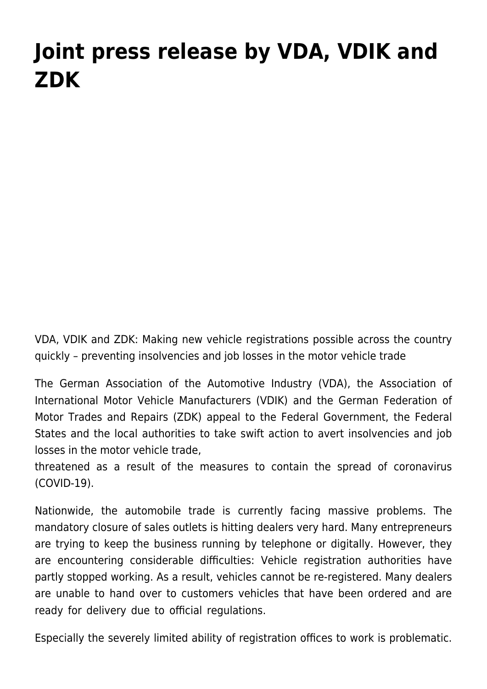## **[Joint press release by VDA, VDIK and](https://www.vdik.de/en/2020/joint-press-release-by-vda-vdik-and-zdk/) [ZDK](https://www.vdik.de/en/2020/joint-press-release-by-vda-vdik-and-zdk/)**

VDA, VDIK and ZDK: Making new vehicle registrations possible across the country quickly – preventing insolvencies and job losses in the motor vehicle trade

The German Association of the Automotive Industry (VDA), the Association of International Motor Vehicle Manufacturers (VDIK) and the German Federation of Motor Trades and Repairs (ZDK) appeal to the Federal Government, the Federal States and the local authorities to take swift action to avert insolvencies and job losses in the motor vehicle trade,

threatened as a result of the measures to contain the spread of coronavirus (COVID-19).

Nationwide, the automobile trade is currently facing massive problems. The mandatory closure of sales outlets is hitting dealers very hard. Many entrepreneurs are trying to keep the business running by telephone or digitally. However, they are encountering considerable difficulties: Vehicle registration authorities have partly stopped working. As a result, vehicles cannot be re-registered. Many dealers are unable to hand over to customers vehicles that have been ordered and are ready for delivery due to official regulations.

Especially the severely limited ability of registration offices to work is problematic.